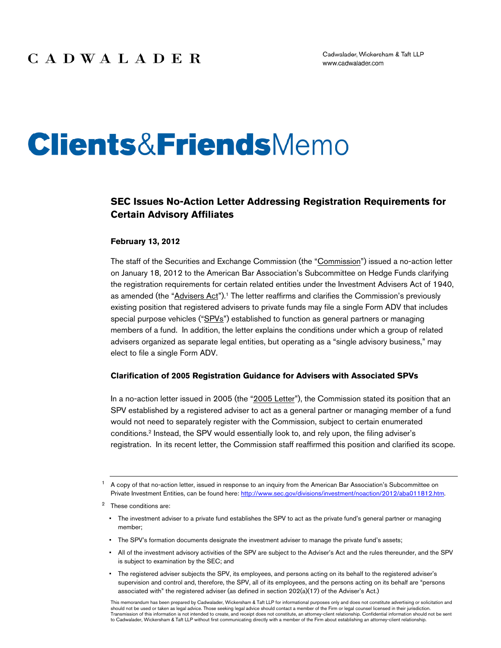# **Clients&Friends**Memo

#### **SEC Issues No-Action Letter Addressing Registration Requirements for Certain Advisory Affiliates**

#### **February 13, 2012**

The staff of the Securities and Exchange Commission (the "Commission") issued a no-action letter on January 18, 2012 to the American Bar Association's Subcommittee on Hedge Funds clarifying the registration requirements for certain related entities under the Investment Advisers Act of 1940, as amended (the "Advisers Act").<sup>1</sup> The letter reaffirms and clarifies the Commission's previously existing position that registered advisers to private funds may file a single Form ADV that includes special purpose vehicles ("SPVs") established to function as general partners or managing members of a fund. In addition, the letter explains the conditions under which a group of related advisers organized as separate legal entities, but operating as a "single advisory business," may elect to file a single Form ADV.

#### **Clarification of 2005 Registration Guidance for Advisers with Associated SPVs**

In a no-action letter issued in 2005 (the "2005 Letter"), the Commission stated its position that an SPV established by a registered adviser to act as a general partner or managing member of a fund would not need to separately register with the Commission, subject to certain enumerated conditions.2 Instead, the SPV would essentially look to, and rely upon, the filing adviser's registration. In its recent letter, the Commission staff reaffirmed this position and clarified its scope.

- 2 These conditions are:
	- The investment adviser to a private fund establishes the SPV to act as the private fund's general partner or managing member;
	- The SPV's formation documents designate the investment adviser to manage the private fund's assets;
	- All of the investment advisory activities of the SPV are subject to the Adviser's Act and the rules thereunder, and the SPV is subject to examination by the SEC; and
	- The registered adviser subjects the SPV, its employees, and persons acting on its behalf to the registered adviser's supervision and control and, therefore, the SPV, all of its employees, and the persons acting on its behalf are "persons associated with" the registered adviser (as defined in section 202(a)(17) of the Adviser's Act.)

<sup>1</sup> A copy of that no-action letter, issued in response to an inquiry from the American Bar Association's Subcommittee on Private Investment Entities, can be found here: http://www.sec.gov/divisions/investment/noaction/2012/aba011812.htm.

This memorandum has been prepared by Cadwalader, Wickersham & Taft LLP for informational purposes only and does not constitute advertising or solicitation and should not be used or taken as legal advice. Those seeking legal advice should contact a member of the Firm or legal counsel licensed in their jurisdiction. Transmission of this information is not intended to create, and receipt does not constitute, an attorney-client relationship. Confidential information should not be sent<br>to Cadwalader, Wickersham & Taft LLP without first c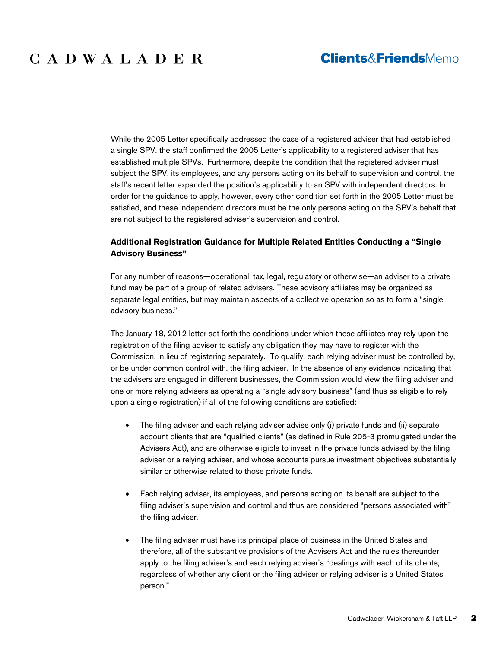While the 2005 Letter specifically addressed the case of a registered adviser that had established a single SPV, the staff confirmed the 2005 Letter's applicability to a registered adviser that has established multiple SPVs. Furthermore, despite the condition that the registered adviser must subject the SPV, its employees, and any persons acting on its behalf to supervision and control, the staff's recent letter expanded the position's applicability to an SPV with independent directors. In order for the guidance to apply, however, every other condition set forth in the 2005 Letter must be satisfied, and these independent directors must be the only persons acting on the SPV's behalf that are not subject to the registered adviser's supervision and control.

#### **Additional Registration Guidance for Multiple Related Entities Conducting a "Single Advisory Business"**

For any number of reasons—operational, tax, legal, regulatory or otherwise—an adviser to a private fund may be part of a group of related advisers. These advisory affiliates may be organized as separate legal entities, but may maintain aspects of a collective operation so as to form a "single advisory business."

The January 18, 2012 letter set forth the conditions under which these affiliates may rely upon the registration of the filing adviser to satisfy any obligation they may have to register with the Commission, in lieu of registering separately. To qualify, each relying adviser must be controlled by, or be under common control with, the filing adviser. In the absence of any evidence indicating that the advisers are engaged in different businesses, the Commission would view the filing adviser and one or more relying advisers as operating a "single advisory business" (and thus as eligible to rely upon a single registration) if all of the following conditions are satisfied:

- The filing adviser and each relying adviser advise only (i) private funds and (ii) separate account clients that are "qualified clients" (as defined in Rule 205-3 promulgated under the Advisers Act), and are otherwise eligible to invest in the private funds advised by the filing adviser or a relying adviser, and whose accounts pursue investment objectives substantially similar or otherwise related to those private funds.
- Each relying adviser, its employees, and persons acting on its behalf are subject to the filing adviser's supervision and control and thus are considered "persons associated with" the filing adviser.
- The filing adviser must have its principal place of business in the United States and, therefore, all of the substantive provisions of the Advisers Act and the rules thereunder apply to the filing adviser's and each relying adviser's "dealings with each of its clients, regardless of whether any client or the filing adviser or relying adviser is a United States person."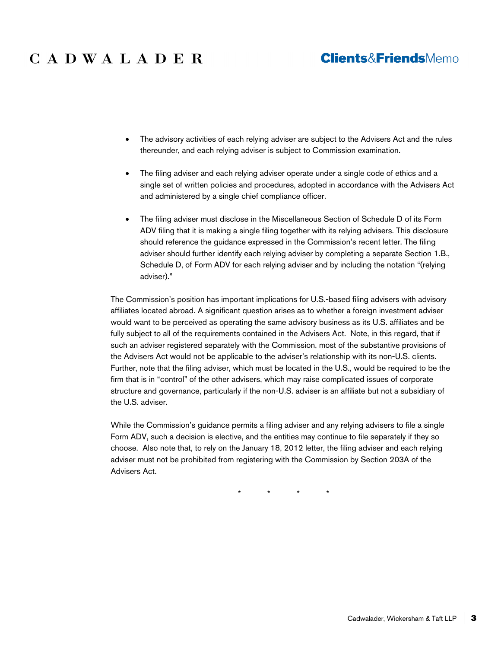## CADWALADER

### **Clients&FriendsMemo**

- The advisory activities of each relying adviser are subject to the Advisers Act and the rules thereunder, and each relying adviser is subject to Commission examination.
- The filing adviser and each relying adviser operate under a single code of ethics and a single set of written policies and procedures, adopted in accordance with the Advisers Act and administered by a single chief compliance officer.
- The filing adviser must disclose in the Miscellaneous Section of Schedule D of its Form ADV filing that it is making a single filing together with its relying advisers. This disclosure should reference the guidance expressed in the Commission's recent letter. The filing adviser should further identify each relying adviser by completing a separate Section 1.B., Schedule D, of Form ADV for each relying adviser and by including the notation "(relying adviser)."

The Commission's position has important implications for U.S.-based filing advisers with advisory affiliates located abroad. A significant question arises as to whether a foreign investment adviser would want to be perceived as operating the same advisory business as its U.S. affiliates and be fully subject to all of the requirements contained in the Advisers Act. Note, in this regard, that if such an adviser registered separately with the Commission, most of the substantive provisions of the Advisers Act would not be applicable to the adviser's relationship with its non-U.S. clients. Further, note that the filing adviser, which must be located in the U.S., would be required to be the firm that is in "control" of the other advisers, which may raise complicated issues of corporate structure and governance, particularly if the non-U.S. adviser is an affiliate but not a subsidiary of the U.S. adviser.

While the Commission's guidance permits a filing adviser and any relying advisers to file a single Form ADV, such a decision is elective, and the entities may continue to file separately if they so choose. Also note that, to rely on the January 18, 2012 letter, the filing adviser and each relying adviser must not be prohibited from registering with the Commission by Section 203A of the Advisers Act.

\* \* \* \*